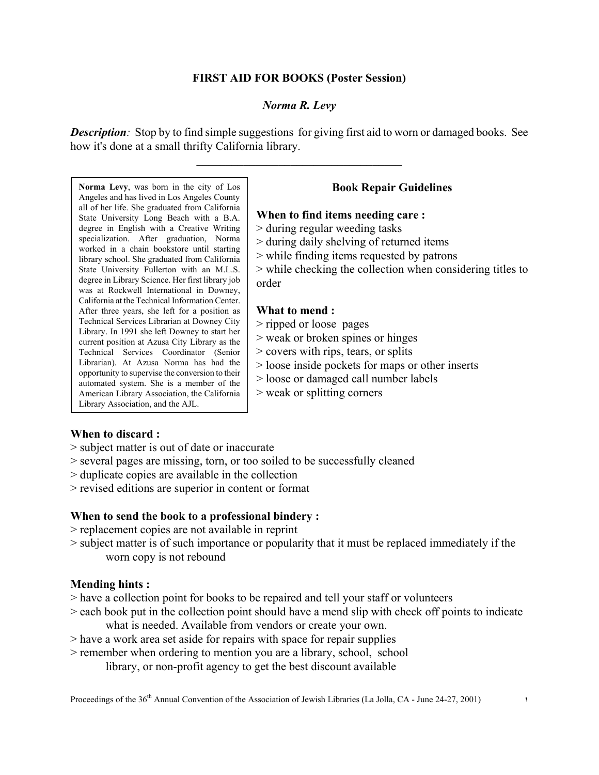# **FIRST AID FOR BOOKS (Poster Session)**

# *Norma R. Levy*

*Description:* Stop by to find simple suggestions for giving first aid to worn or damaged books. See how it's done at a small thrifty California library.

 $\mathcal{L}_\text{max}$  , where  $\mathcal{L}_\text{max}$  and  $\mathcal{L}_\text{max}$  and  $\mathcal{L}_\text{max}$ 

**Norma Levy**, was born in the city of Los Angeles and has lived in Los Angeles County all of her life. She graduated from California State University Long Beach with a B.A. degree in English with a Creative Writing specialization. After graduation, Norma worked in a chain bookstore until starting library school. She graduated from California State University Fullerton with an M.L.S. degree in Library Science. Her first library job was at Rockwell International in Downey, California at the Technical Information Center. After three years, she left for a position as Technical Services Librarian at Downey City Library. In 1991 she left Downey to start her current position at Azusa City Library as the Technical Services Coordinator (Senior Librarian). At Azusa Norma has had the opportunity to supervise the conversion to their automated system. She is a member of the American Library Association, the California Library Association, and the AJL.

## **Book Repair Guidelines**

#### **When to find items needing care :**

- > during regular weeding tasks
- > during daily shelving of returned items
- > while finding items requested by patrons

> while checking the collection when considering titles to order

#### **What to mend :**

- > ripped or loose pages
- > weak or broken spines or hinges
- > covers with rips, tears, or splits
- > loose inside pockets for maps or other inserts
- > loose or damaged call number labels
- > weak or splitting corners

## **When to discard :**

- > subject matter is out of date or inaccurate
- > several pages are missing, torn, or too soiled to be successfully cleaned
- > duplicate copies are available in the collection
- > revised editions are superior in content or format

## **When to send the book to a professional bindery :**

> replacement copies are not available in reprint

> subject matter is of such importance or popularity that it must be replaced immediately if the worn copy is not rebound

## **Mending hints :**

- > have a collection point for books to be repaired and tell your staff or volunteers
- > each book put in the collection point should have a mend slip with check off points to indicate what is needed. Available from vendors or create your own.
- > have a work area set aside for repairs with space for repair supplies
- > remember when ordering to mention you are a library, school, school library, or non-profit agency to get the best discount available